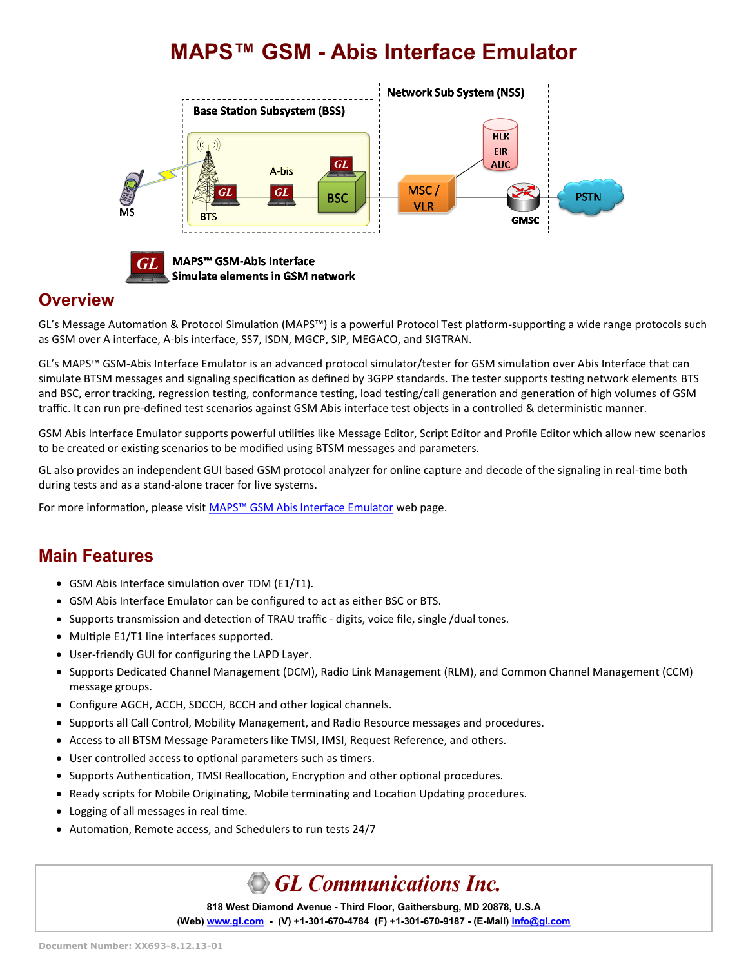# **MAPS™ GSM - Abis Interface Emulator**





MAPS™ GSM-Abis Interface Simulate elements in GSM network

### **Overview**

GL's Message Automation & Protocol Simulation (MAPS™) is a powerful Protocol Test platform-supporting a wide range protocols such as GSM over A interface, A-bis interface, SS7, ISDN, MGCP, SIP, MEGACO, and SIGTRAN.

GL's MAPS™ GSM-Abis Interface Emulator is an advanced protocol simulator/tester for GSM simulation over Abis Interface that can simulate BTSM messages and signaling specification as defined by 3GPP standards. The tester supports testing network elements BTS and BSC, error tracking, regression testing, conformance testing, load testing/call generation and generation of high volumes of GSM traffic. It can run pre-defined test scenarios against GSM Abis interface test objects in a controlled & deterministic manner.

GSM Abis Interface Emulator supports powerful utilities like Message Editor, Script Editor and Profile Editor which allow new scenarios to be created or existing scenarios to be modified using BTSM messages and parameters.

GL also provides an independent GUI based GSM protocol analyzer for online capture and decode of the signaling in real-time both during tests and as a stand-alone tracer for live systems.

For more information, please visit MAPS<sup>™</sup> [GSM Abis Interface Emulator](https://www.gl.com/maps-gsmabis.html) web page.

## **Main Features**

- GSM Abis Interface simulation over TDM (E1/T1).
- GSM Abis Interface Emulator can be configured to act as either BSC or BTS.
- Supports transmission and detection of TRAU traffic digits, voice file, single /dual tones.
- Multiple E1/T1 line interfaces supported.
- User-friendly GUI for configuring the LAPD Layer.
- Supports Dedicated Channel Management (DCM), Radio Link Management (RLM), and Common Channel Management (CCM) message groups.
- Configure AGCH, ACCH, SDCCH, BCCH and other logical channels.
- Supports all Call Control, Mobility Management, and Radio Resource messages and procedures.
- Access to all BTSM Message Parameters like TMSI, IMSI, Request Reference, and others.
- User controlled access to optional parameters such as timers.
- Supports Authentication, TMSI Reallocation, Encryption and other optional procedures.
- Ready scripts for Mobile Originating, Mobile terminating and Location Updating procedures.
- Logging of all messages in real time.
- Automation, Remote access, and Schedulers to run tests 24/7

# **GL Communications Inc.**

**818 West Diamond Avenue - Third Floor, Gaithersburg, MD 20878, U.S.A** (Web) [www.gl.com](https://www.gl.com) - (V) +1-301-670-4784 (F) +1-301-670-9187 - (E-Mail) [info@gl.com](https://www.gl.com/inforequestform.php)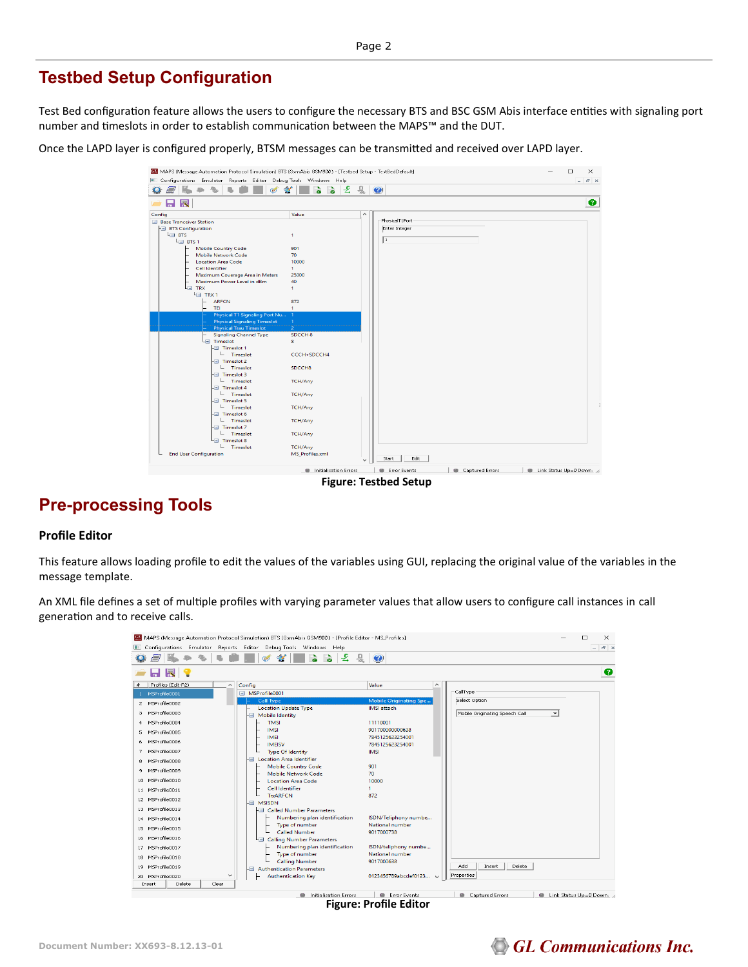## **Testbed Setup Configuration**

Test Bed configuration feature allows the users to configure the necessary BTS and BSC GSM Abis interface entities with signaling port number and timeslots in order to establish communication between the MAPS™ and the DUT.

Once the LAPD layer is configured properly, BTSM messages can be transmitted and received over LAPD layer.



## **Pre-processing Tools**

#### **Profile Editor**

This feature allows loading profile to edit the values of the variables using GUI, replacing the original value of the variables in the message template.

An XML file defines a set of multiple profiles with varying parameter values that allow users to configure call instances in call generation and to receive calls.

|                                                | MAPS (Message Automation Protocol Simulation) BTS (GsmAbis GSM900) - [Profile Editor - MS Profiles] |                                 |                                                            | П<br>$\times$            |
|------------------------------------------------|-----------------------------------------------------------------------------------------------------|---------------------------------|------------------------------------------------------------|--------------------------|
|                                                | Configurations Emulator Reports Editor Debug-Tools Windows Help                                     |                                 |                                                            | $ E$ $\times$            |
| E1                                             | 훛<br>믶<br><b>V</b><br>ශ්                                                                            | $\bullet$                       |                                                            |                          |
| 圜                                              |                                                                                                     |                                 |                                                            | ◉                        |
| Profiles (Edit-F2)<br>×<br>$\hat{\phantom{a}}$ | Config                                                                                              | Value<br>$\hat{\phantom{1}}$    |                                                            |                          |
| 1 MSProfile0001                                | MSProfile0001                                                                                       |                                 | CallType                                                   |                          |
| MSProfile0002<br>$\mathfrak{D}$                | Call Type                                                                                           | <b>Mobile Originating Spe</b>   | Select Option                                              |                          |
| MSProfile0003                                  | <b>Location Update Type</b>                                                                         | <b>IMSI</b> attach              |                                                            |                          |
| з                                              | <b>Mobile Identity</b><br>-9                                                                        |                                 | Mobile Originating Speech Call<br>$\overline{\phantom{a}}$ |                          |
| MSProfile0004<br>$\overline{4}$                | <b>TMSI</b>                                                                                         | 11110001                        |                                                            |                          |
| MSProfile0005<br>5                             | <b>IMSI</b>                                                                                         | 901700000000638                 |                                                            |                          |
| MSProfile0006<br>6                             | <b>IMEI</b><br><b>IMEISV</b>                                                                        | 7845125623254001                |                                                            |                          |
| MSProfile0007<br>$\mathcal{F}$                 | <b>Type Of Identity</b>                                                                             | 7845125623254001<br><b>IMSI</b> |                                                            |                          |
|                                                | <b>Location Area Identifier</b><br>۱⊟                                                               |                                 |                                                            |                          |
| MSProfile0008<br>8                             | <b>Mobile Country Code</b>                                                                          | 901                             |                                                            |                          |
| MSProfile0009<br>9                             | <b>Mobile Network Code</b>                                                                          | 70                              |                                                            |                          |
| MSProfile0010<br>10                            | <b>Location Area Code</b>                                                                           | 10000                           |                                                            |                          |
| 11 MSProfile0011                               | Cell Identifier                                                                                     |                                 |                                                            |                          |
| 12 MSProfile0012                               | <b>T<sub>D</sub>ARFCN</b>                                                                           | 872                             |                                                            |                          |
|                                                | <b>MSISDN</b><br>-9                                                                                 |                                 |                                                            |                          |
| MSProfile0013<br>13                            | <b>Called Number Parameters</b><br>$-1$                                                             |                                 |                                                            |                          |
| 14 MSProfile0014                               | Numbering plan identification                                                                       | ISDN/Teliphony numbe            |                                                            |                          |
| 15 MSProfile0015                               | Type of number                                                                                      | National number                 |                                                            |                          |
| MSProfile0016<br>16                            | <b>Called Number</b>                                                                                | 9017000738                      |                                                            |                          |
|                                                | <b>Calling Number Parameters</b><br>$-1$<br>Numbering plan identification                           | ISDN/teliphony numbe            |                                                            |                          |
| MSProfile0017<br>17                            | Type of number                                                                                      | National number                 |                                                            |                          |
| MSProfile0018<br>18                            | <b>Calling Number</b>                                                                               | 9017000638                      |                                                            |                          |
| MSProfile0019<br>19                            | <b>Authentication Parameters</b><br>-9                                                              |                                 | Delete<br>Add<br>Insert                                    |                          |
| $\checkmark$<br>MSProfile0020<br>20            | <b>Authentication Key</b>                                                                           | 0123456789abcdef0123            | Properties                                                 |                          |
| Clear<br>Delete<br>Insert                      |                                                                                                     |                                 |                                                            |                          |
|                                                | Initialisation Errors                                                                               | <b>Error Events</b>             | Captured Errors                                            | Link Status Up=0 Down: / |
|                                                | -:                                                                                                  |                                 |                                                            |                          |

**Figure: Profile Editor**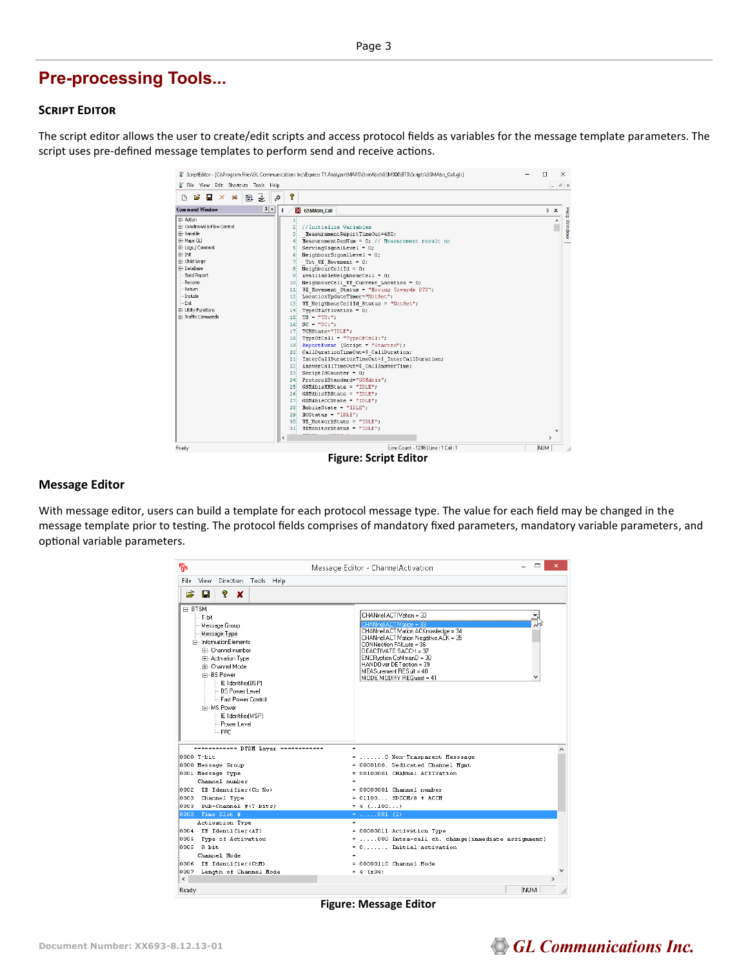## **Pre-processing Tools...**

#### **Script Editor**

The script editor allows the user to create/edit scripts and access protocol fields as variables for the message template parameters. The script uses pre-defined message templates to perform send and receive actions.

|                                                                                                                                                                                                                                                   | ScriptEditor - [C:\Program Files\GL Communications Inc\Express T1 Analyzer\MAPS\GsmAbis\GSM900\BTS\Scripts\GSMAbis Call.qls]                                                                                                                                                                                                                                                                                                                                                                                                                                                                                                                                                                                                                                                                                                                                                                                                                                                                                                                                                                                                                                                                                                    | п                  | $\times$    |
|---------------------------------------------------------------------------------------------------------------------------------------------------------------------------------------------------------------------------------------------------|---------------------------------------------------------------------------------------------------------------------------------------------------------------------------------------------------------------------------------------------------------------------------------------------------------------------------------------------------------------------------------------------------------------------------------------------------------------------------------------------------------------------------------------------------------------------------------------------------------------------------------------------------------------------------------------------------------------------------------------------------------------------------------------------------------------------------------------------------------------------------------------------------------------------------------------------------------------------------------------------------------------------------------------------------------------------------------------------------------------------------------------------------------------------------------------------------------------------------------|--------------------|-------------|
| File View Edit Shortcuts Tools Help                                                                                                                                                                                                               |                                                                                                                                                                                                                                                                                                                                                                                                                                                                                                                                                                                                                                                                                                                                                                                                                                                                                                                                                                                                                                                                                                                                                                                                                                 |                    | $ B$ $x$    |
| 굴<br><b>B</b><br>н<br>U.<br>$\boldsymbol{\times}$<br>$>\epsilon$<br>D                                                                                                                                                                             | የ<br>ö,                                                                                                                                                                                                                                                                                                                                                                                                                                                                                                                                                                                                                                                                                                                                                                                                                                                                                                                                                                                                                                                                                                                                                                                                                         |                    |             |
| 1x<br><b>Command Window</b>                                                                                                                                                                                                                       | $\triangleleft$<br><b>X</b> GSMAbis Call                                                                                                                                                                                                                                                                                                                                                                                                                                                                                                                                                                                                                                                                                                                                                                                                                                                                                                                                                                                                                                                                                                                                                                                        | $\triangleright$ X |             |
| E- Action<br>Fi- Conditional & Flow Control<br>Fi-Variable<br>E-Maps CLI<br>E-Logs / Comment<br>E-Init<br>E-Child Script<br>Fi-DataBase<br>- Send Report<br>Resume<br>Return<br>- Include<br>$-Ext$<br>田· Utility Functions<br>F Traffic Commands | 1İ<br>$\overline{c}$<br>//Initialize Variables<br>3<br>MeasurementReportTimeOut=480;<br>MeasurementResNum = 0: // Measurement result no<br>$\overline{4}$<br>$ServingSignalLevel = 0;$<br>5<br>$NeichbourSignalLevel = 0;$<br>6<br>71<br>Tot UE Movement = 0;<br>NeighbourCellId = $0$ ;<br>81<br>9.<br>AvailiableNeighbourCell = 0;<br>NeighbourCell UE Current Location = 0;<br>10<br>UE Movement Status = "Moving Towards BTS";<br>11<br>12 LocationUpdateTimer="NotSet";<br>UE NeighbourCellId Status = "NotSet";<br>13 <sup>1</sup><br>TvpeOfActivation = 0:<br>14 <sup>1</sup><br>$TS = "TS:$ ":<br>15!<br>$16$ SC = $"SC:$ "<br>17 TCHState="IDLE";<br>$18$ TypeOfCall = "TypeOfCall:";<br>19 ReportEvent (Script = "Started");<br>CallDurationTimeOut=\$ CallDuration;<br>20.<br>InterCaliDurationTimeOut=\$ InterCaliDuration;<br>21<br>22 AnswerCallTimeOut=\$ CallAnswerTime;<br>$ScriptIdCounter = 0;$<br>231<br>ProtocolStandard="GSHAbis";<br>241<br>25 GSMAbisMMState = "IDLE";<br>26 GSMAbisRRState = "IDLE";<br>27 GSMAbisCCState = "IDLE";<br>28.<br>$MobileState = "IDLE";$<br>$29$ HOStatus = "IDLE";<br>30 <sup>1</sup><br>UE NetworkState = "IDLE";<br>$UEMontorStatus = "IDLE";$<br>31 <sup>1</sup><br>K | $\rightarrow$      | Help Window |
| Ready                                                                                                                                                                                                                                             | Line Count - 1298   Line : 1 Col : 1                                                                                                                                                                                                                                                                                                                                                                                                                                                                                                                                                                                                                                                                                                                                                                                                                                                                                                                                                                                                                                                                                                                                                                                            | NUM                |             |

#### **Message Editor**

With message editor, users can build a template for each protocol message type. The value for each field may be changed in the message template prior to testing. The protocol fields comprises of mandatory fixed parameters, mandatory variable parameters, and optional variable parameters.

| Пs                                 |                                                                                                                                                                                                                                                                                             | Message Editor - Channel Activation                                                                                                                                                                                                                                                                |
|------------------------------------|---------------------------------------------------------------------------------------------------------------------------------------------------------------------------------------------------------------------------------------------------------------------------------------------|----------------------------------------------------------------------------------------------------------------------------------------------------------------------------------------------------------------------------------------------------------------------------------------------------|
| File                               | Direction Tools Help<br>View                                                                                                                                                                                                                                                                |                                                                                                                                                                                                                                                                                                    |
| Ê                                  | Ŷ.<br>П<br>×                                                                                                                                                                                                                                                                                |                                                                                                                                                                                                                                                                                                    |
| F-BTSM                             | i- T-hit<br>Message Group<br>Message Type<br>白-InformationElements<br>Fi- Channel number<br>由 Activation Type<br>Fi- Channel Mode<br><b>E-BS</b> Power<br>- IE Identifier(BSP)<br>- BS Power Level<br>- Fast Power Control<br>F-MS Power<br>- IE Identifier(MSP)<br>- Power Level<br>L. FPC | CHANnel ACTIVation = 33<br>CHANnel ACTIVation = 33<br>CHANnel ACTIVation ACKnowledge = 34<br>CHANnel ACTIVation Negative ACK = 35<br>CONNection FAILure = 36<br>DEACTIVATE SACCH = 37<br>ENCRyption CoMmanD = 38<br>HANDOver DETection = 39<br>MEASurement RESult = 40<br>MODE MODIEY BEQuest = 41 |
|                                    | executivenes BTSM Laver concernation                                                                                                                                                                                                                                                        | $\blacksquare$                                                                                                                                                                                                                                                                                     |
|                                    | 0000 T-bit                                                                                                                                                                                                                                                                                  | =  0 Non-Trasparent Messsage                                                                                                                                                                                                                                                                       |
|                                    | 0000 Message Group                                                                                                                                                                                                                                                                          | = 0000100. Dedicated Channel Mqmt<br>= 00100001 CHANnel ACTIVation                                                                                                                                                                                                                                 |
|                                    | 0001 Message Type<br>Channel number                                                                                                                                                                                                                                                         |                                                                                                                                                                                                                                                                                                    |
|                                    | 0002 IE Identifier(Ch No)                                                                                                                                                                                                                                                                   | = 00000001 Channel number                                                                                                                                                                                                                                                                          |
|                                    | 0003 Channel Type                                                                                                                                                                                                                                                                           | $= 01100$ SDCCH/8 + ACCH                                                                                                                                                                                                                                                                           |
|                                    | 0003 Sub-Channel #(T bits)                                                                                                                                                                                                                                                                  | $= 4$ (100)                                                                                                                                                                                                                                                                                        |
|                                    | 0003 Time Slot #                                                                                                                                                                                                                                                                            | $=$ 001 (1)                                                                                                                                                                                                                                                                                        |
|                                    | Activation Type                                                                                                                                                                                                                                                                             | $\equiv$                                                                                                                                                                                                                                                                                           |
|                                    | 0004 IE Identifier(AT)                                                                                                                                                                                                                                                                      | = 00000011 Activation Type                                                                                                                                                                                                                                                                         |
|                                    | 0005 Type of Activation                                                                                                                                                                                                                                                                     | = 000 Intra-cell ch. change(immediate assignment)                                                                                                                                                                                                                                                  |
|                                    | 0005 R bit                                                                                                                                                                                                                                                                                  | $= 0, \ldots,$ Initial activation                                                                                                                                                                                                                                                                  |
|                                    | Channel Mode                                                                                                                                                                                                                                                                                |                                                                                                                                                                                                                                                                                                    |
|                                    | 0006 IE Identifier (ChM)                                                                                                                                                                                                                                                                    | = 00000110 Channel Mode                                                                                                                                                                                                                                                                            |
|                                    | 0007 Length of Channel Mode                                                                                                                                                                                                                                                                 | $= 4 (x04)$                                                                                                                                                                                                                                                                                        |
| $\left\langle \cdot \right\rangle$ |                                                                                                                                                                                                                                                                                             | ٠                                                                                                                                                                                                                                                                                                  |
| Ready                              |                                                                                                                                                                                                                                                                                             | <b>NUM</b>                                                                                                                                                                                                                                                                                         |

**Figure: Message Editor**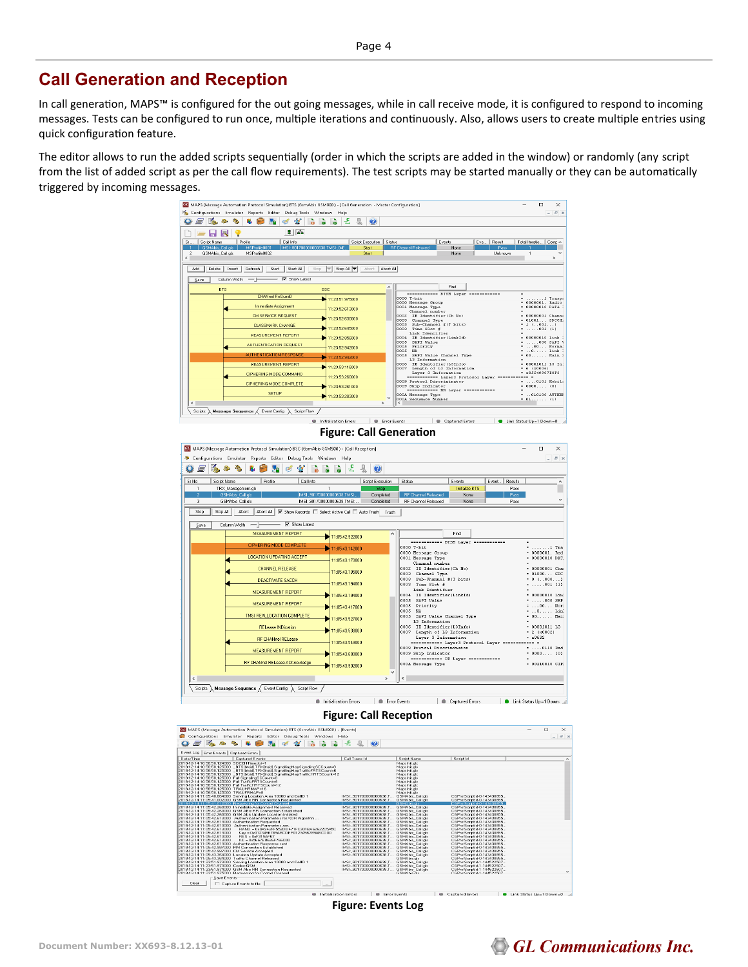## **Call Generation and Reception**

In call generation, MAPS™ is configured for the out going messages, while in call receive mode, it is configured to respond to incoming messages. Tests can be configured to run once, multiple iterations and continuously. Also, allows users to create multiple entries using quick configuration feature.

The editor allows to run the added scripts sequentially (order in which the scripts are added in the window) or randomly (any script from the list of added script as per the call flow requirements). The test scripts may be started manually or they can be automatically triggered by incoming messages.





**Figure: Events Log**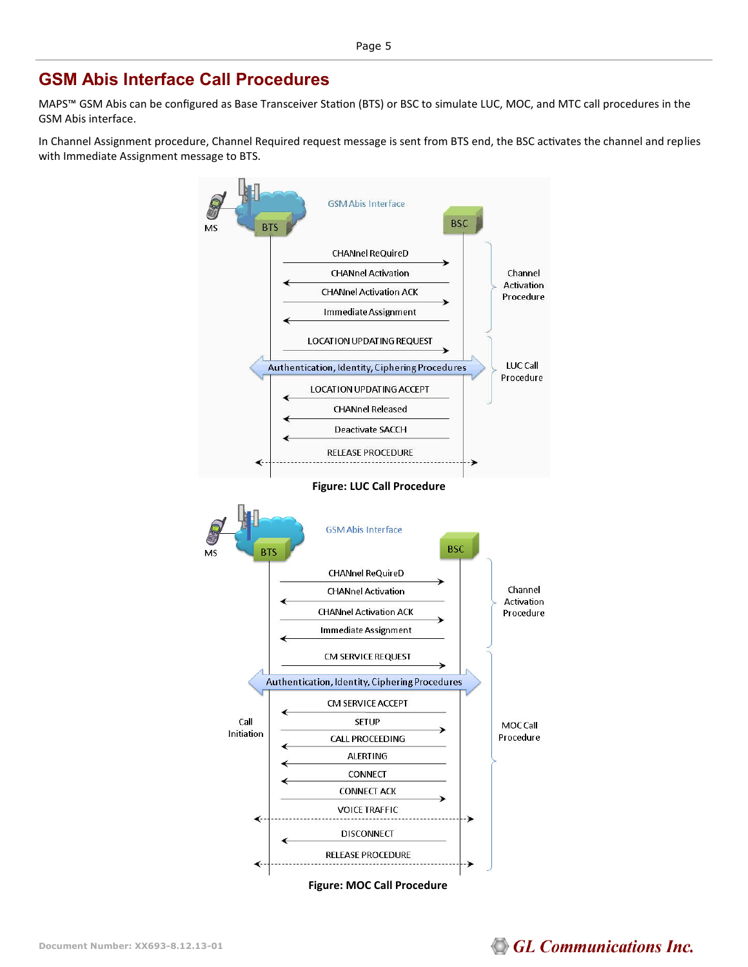### **GSM Abis Interface Call Procedures**

MAPS™ GSM Abis can be configured as Base Transceiver Station (BTS) or BSC to simulate LUC, MOC, and MTC call procedures in the GSM Abis interface.

In Channel Assignment procedure, Channel Required request message is sent from BTS end, the BSC activates the channel and replies with Immediate Assignment message to BTS.

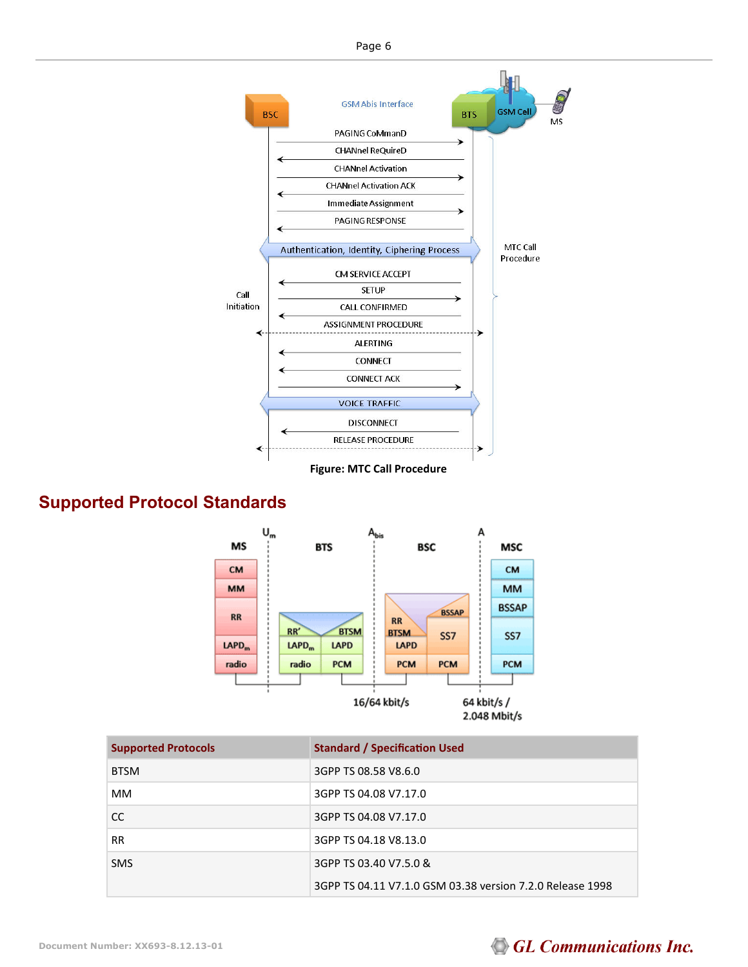

## **Supported Protocol Standards**



| <b>Supported Protocols</b> | <b>Standard / Specification Used</b>                      |
|----------------------------|-----------------------------------------------------------|
| <b>BTSM</b>                | 3GPP TS 08.58 V8.6.0                                      |
| MМ                         | 3GPP TS 04.08 V7.17.0                                     |
| CC.                        | 3GPP TS 04.08 V7.17.0                                     |
| <b>RR</b>                  | 3GPP TS 04.18 V8.13.0                                     |
| <b>SMS</b>                 | 3GPP TS 03.40 V7.5.0 &                                    |
|                            | 3GPP TS 04.11 V7.1.0 GSM 03.38 version 7.2.0 Release 1998 |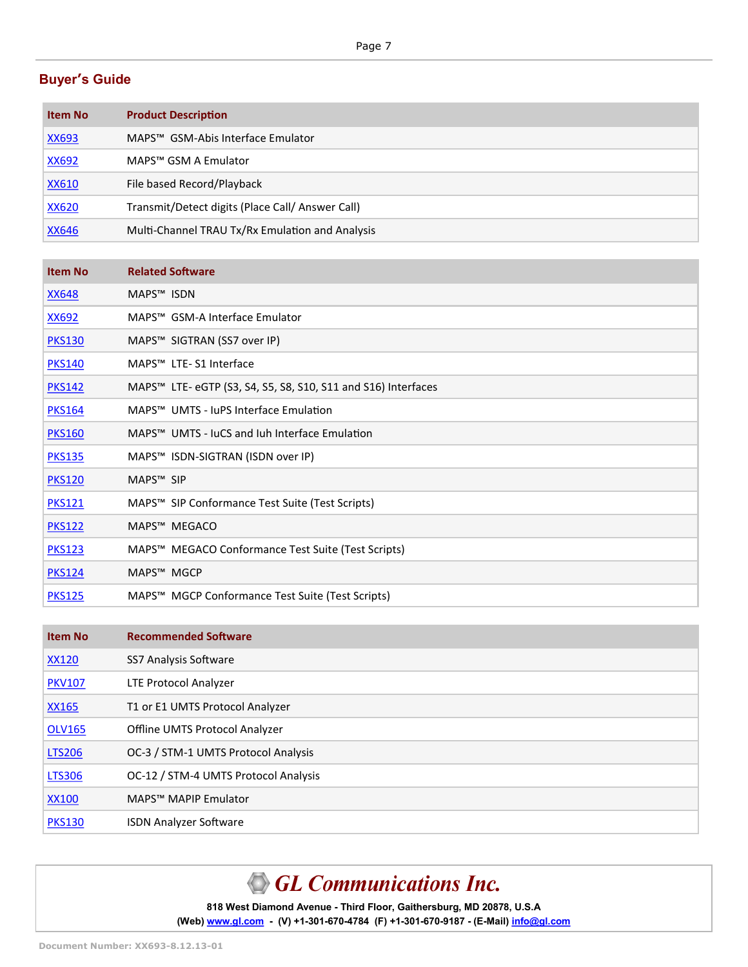#### **Buyer's Guide**

| <b>Item No</b> | <b>Product Description</b>                       |
|----------------|--------------------------------------------------|
| XX693          | MAPS™ GSM-Abis Interface Emulator                |
| XX692          | MAPS™ GSM A Emulator                             |
| XX610          | File based Record/Playback                       |
| <u>XX620</u>   | Transmit/Detect digits (Place Call/ Answer Call) |
| <b>XX646</b>   | Multi-Channel TRAU Tx/Rx Emulation and Analysis  |

| <b>Item No</b> | <b>Related Software</b>                                       |
|----------------|---------------------------------------------------------------|
| <u>XX648</u>   | MAPS <sup>™</sup> ISDN                                        |
| <b>XX692</b>   | MAPS <sup>™</sup> GSM-A Interface Emulator                    |
| <b>PKS130</b>  | MAPS™ SIGTRAN (SS7 over IP)                                   |
| <b>PKS140</b>  | MAPS <sup>™</sup> LTE-S1 Interface                            |
| <b>PKS142</b>  | MAPS™ LTE- eGTP (S3, S4, S5, S8, S10, S11 and S16) Interfaces |
| <b>PKS164</b>  | MAPS™ UMTS - JuPS Interface Emulation                         |
| <b>PKS160</b>  | MAPS <sup>™</sup> UMTS - IuCS and Juh Interface Emulation     |
| <b>PKS135</b>  | MAPS™ ISDN-SIGTRAN (ISDN over IP)                             |
| <b>PKS120</b>  | MAPS <sup>™</sup> SIP                                         |
| <b>PKS121</b>  | MAPS™ SIP Conformance Test Suite (Test Scripts)               |
| <b>PKS122</b>  | MAPS <sup>™</sup> MEGACO                                      |
| <b>PKS123</b>  | MAPS™ MEGACO Conformance Test Suite (Test Scripts)            |
| <b>PKS124</b>  | MAPS <sup>™</sup> MGCP                                        |
| <b>PKS125</b>  | MAPS™ MGCP Conformance Test Suite (Test Scripts)              |

| <b>Item No</b> | <b>Recommended Software</b>          |
|----------------|--------------------------------------|
| <b>XX120</b>   | SS7 Analysis Software                |
| <b>PKV107</b>  | LTE Protocol Analyzer                |
| XX165          | T1 or E1 UMTS Protocol Analyzer      |
| <b>OLV165</b>  | Offline UMTS Protocol Analyzer       |
| <b>LTS206</b>  | OC-3 / STM-1 UMTS Protocol Analysis  |
| <b>LTS306</b>  | OC-12 / STM-4 UMTS Protocol Analysis |
| <b>XX100</b>   | MAPS™ MAPIP Emulator                 |
| <b>PKS130</b>  | <b>ISDN Analyzer Software</b>        |

# GL Communications Inc.

**818 West Diamond Avenue - Third Floor, Gaithersburg, MD 20878, U.S.A** (Web) [www.gl.com](https://www.gl.com) - (V) +1-301-670-4784 (F) +1-301-670-9187 - (E-Mail) [info@gl.com](https://www.gl.com/inforequestform.php)